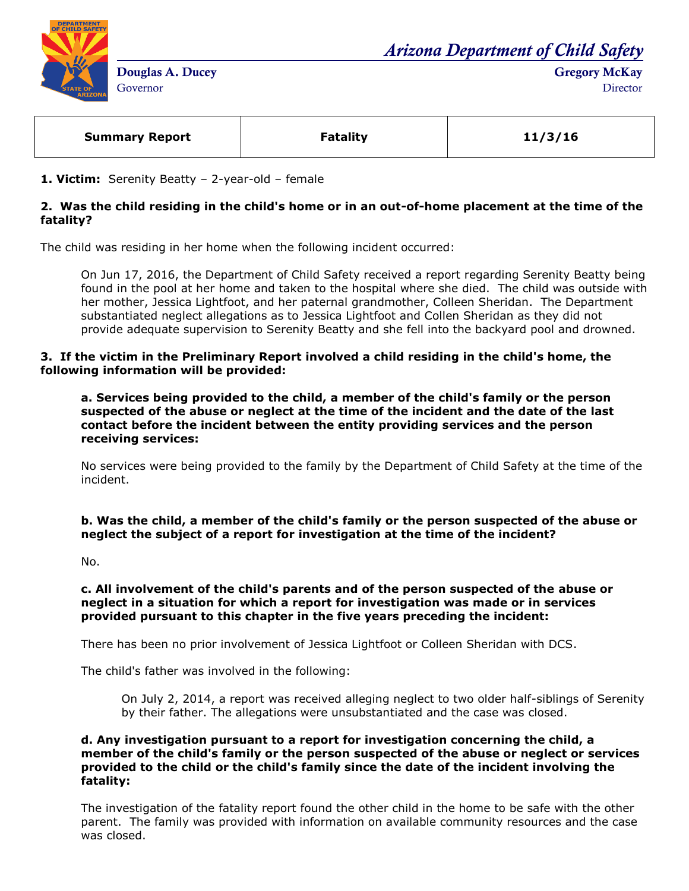

*Arizona Department of Child Safety*

**Gregory McKay Director** 

| <b>Summary Report</b> | <b>Fatality</b> | 11/3/16 |
|-----------------------|-----------------|---------|
|                       |                 |         |

**1. Victim:** Serenity Beatty – 2-year-old – female

# **2. Was the child residing in the child's home or in an out-of-home placement at the time of the fatality?**

The child was residing in her home when the following incident occurred:

On Jun 17, 2016, the Department of Child Safety received a report regarding Serenity Beatty being found in the pool at her home and taken to the hospital where she died. The child was outside with her mother, Jessica Lightfoot, and her paternal grandmother, Colleen Sheridan. The Department substantiated neglect allegations as to Jessica Lightfoot and Collen Sheridan as they did not provide adequate supervision to Serenity Beatty and she fell into the backyard pool and drowned.

### **3. If the victim in the Preliminary Report involved a child residing in the child's home, the following information will be provided:**

**a. Services being provided to the child, a member of the child's family or the person suspected of the abuse or neglect at the time of the incident and the date of the last contact before the incident between the entity providing services and the person receiving services:** 

No services were being provided to the family by the Department of Child Safety at the time of the incident.

**b. Was the child, a member of the child's family or the person suspected of the abuse or neglect the subject of a report for investigation at the time of the incident?**

No.

# **c. All involvement of the child's parents and of the person suspected of the abuse or neglect in a situation for which a report for investigation was made or in services provided pursuant to this chapter in the five years preceding the incident:**

There has been no prior involvement of Jessica Lightfoot or Colleen Sheridan with DCS.

The child's father was involved in the following:

On July 2, 2014, a report was received alleging neglect to two older half-siblings of Serenity by their father. The allegations were unsubstantiated and the case was closed.

### **d. Any investigation pursuant to a report for investigation concerning the child, a member of the child's family or the person suspected of the abuse or neglect or services provided to the child or the child's family since the date of the incident involving the fatality:**

The investigation of the fatality report found the other child in the home to be safe with the other parent. The family was provided with information on available community resources and the case was closed.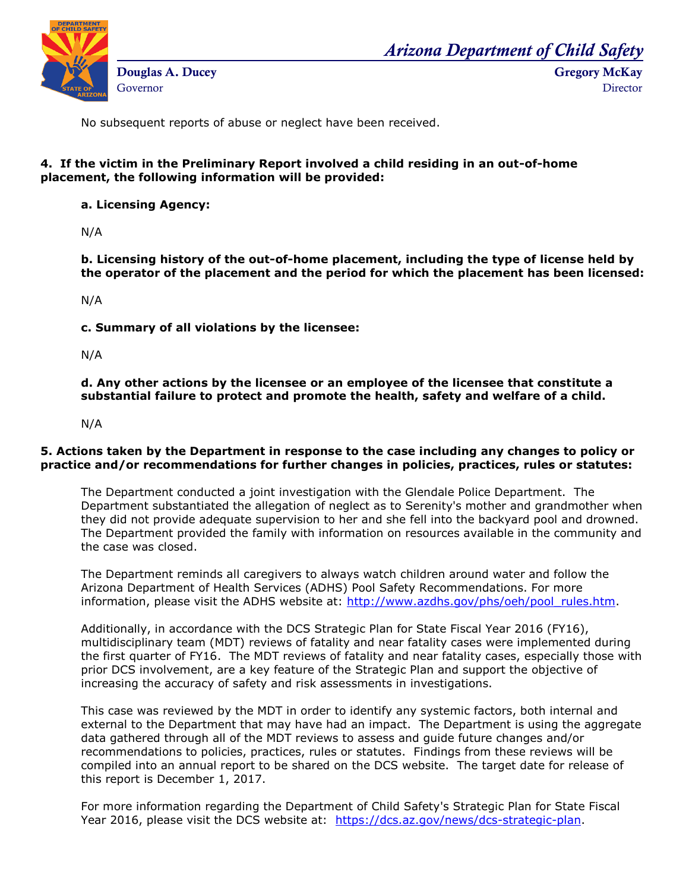

*Arizona Department of Child Safety*

**Gregory McKay**

**Director** 

No subsequent reports of abuse or neglect have been received.

# **4. If the victim in the Preliminary Report involved a child residing in an out-of-home placement, the following information will be provided:**

#### **a. Licensing Agency:**

N/A

**b. Licensing history of the out-of-home placement, including the type of license held by the operator of the placement and the period for which the placement has been licensed:** 

N/A

**c. Summary of all violations by the licensee:** 

N/A

**d. Any other actions by the licensee or an employee of the licensee that constitute a substantial failure to protect and promote the health, safety and welfare of a child.**

N/A

# **5. Actions taken by the Department in response to the case including any changes to policy or practice and/or recommendations for further changes in policies, practices, rules or statutes:**

The Department conducted a joint investigation with the Glendale Police Department. The Department substantiated the allegation of neglect as to Serenity's mother and grandmother when they did not provide adequate supervision to her and she fell into the backyard pool and drowned. The Department provided the family with information on resources available in the community and the case was closed.

The Department reminds all caregivers to always watch children around water and follow the Arizona Department of Health Services (ADHS) Pool Safety Recommendations. For more information, please visit the ADHS website at: [http://www.azdhs.gov/phs/oeh/pool\\_rules.htm.](http://www.azdhs.gov/phs/oeh/pool_rules.htm)

Additionally, in accordance with the DCS Strategic Plan for State Fiscal Year 2016 (FY16), multidisciplinary team (MDT) reviews of fatality and near fatality cases were implemented during the first quarter of FY16. The MDT reviews of fatality and near fatality cases, especially those with prior DCS involvement, are a key feature of the Strategic Plan and support the objective of increasing the accuracy of safety and risk assessments in investigations.

This case was reviewed by the MDT in order to identify any systemic factors, both internal and external to the Department that may have had an impact. The Department is using the aggregate data gathered through all of the MDT reviews to assess and guide future changes and/or recommendations to policies, practices, rules or statutes. Findings from these reviews will be compiled into an annual report to be shared on the DCS website. The target date for release of this report is December 1, 2017.

For more information regarding the Department of Child Safety's Strategic Plan for State Fiscal Year 2016, please visit the DCS website at: [https://dcs.az.gov/news/dcs-strategic-plan.](https://dcs.az.gov/news/dcs-strategic-plan)